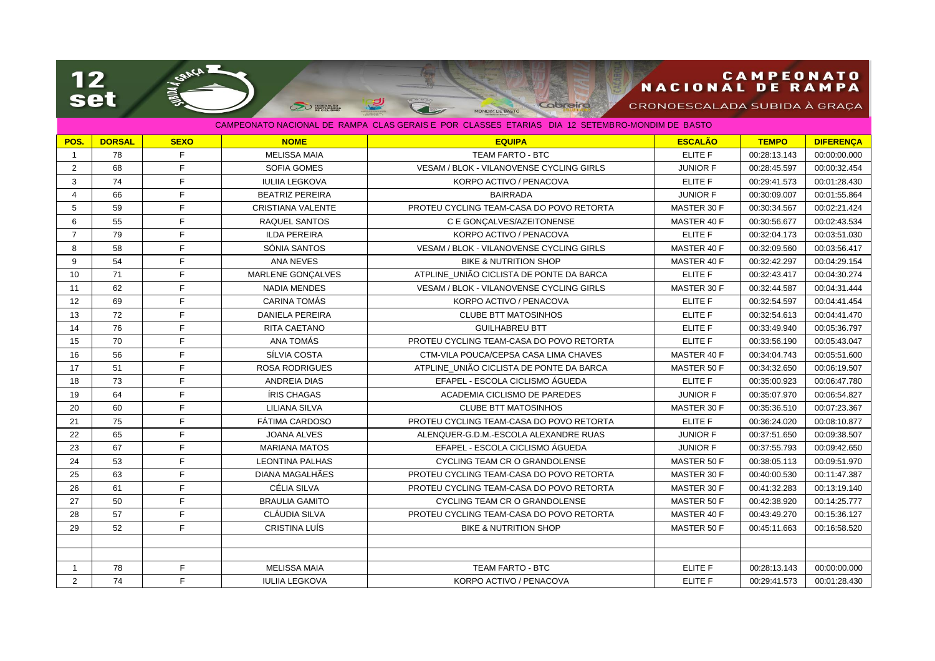## **CAMPEONATO**<br>NACIONAL DE RAMPA

CRONOESCALADA SUBIDA À GRAÇA

| CAMPEONATO NACIONAL DE RAMPA CLAS GERAIS E POR CLASSES ETARIAS. DIA 12 SETEMBRO-MONDIM DE BASTO. |               |             |                          |                                                 |                 |              |                  |  |  |  |  |
|--------------------------------------------------------------------------------------------------|---------------|-------------|--------------------------|-------------------------------------------------|-----------------|--------------|------------------|--|--|--|--|
| POS.                                                                                             | <b>DORSAL</b> | <b>SEXO</b> | <b>NOME</b>              | <b>EQUIPA</b>                                   | <b>ESCALÃO</b>  | <b>TEMPO</b> | <b>DIFERENCA</b> |  |  |  |  |
| $\mathbf{1}$                                                                                     | 78            | F           | <b>MELISSA MAIA</b>      | <b>TEAM FARTO - BTC</b>                         | ELITE F         | 00:28:13.143 | 00:00:00.000     |  |  |  |  |
| 2                                                                                                | 68            | E           | <b>SOFIA GOMES</b>       | VESAM / BLOK - VILANOVENSE CYCLING GIRLS        | <b>JUNIOR F</b> | 00:28:45.597 | 00:00:32.454     |  |  |  |  |
| 3                                                                                                | 74            | F           | <b>IULIIA LEGKOVA</b>    | KORPO ACTIVO / PENACOVA                         | ELITE F         | 00:29:41.573 | 00:01:28.430     |  |  |  |  |
| $\overline{4}$                                                                                   | 66            | F           | <b>BEATRIZ PEREIRA</b>   | <b>BAIRRADA</b>                                 | <b>JUNIOR F</b> | 00:30:09.007 | 00:01:55.864     |  |  |  |  |
| 5                                                                                                | 59            | E           | <b>CRISTIANA VALENTE</b> | PROTEU CYCLING TEAM-CASA DO POVO RETORTA        | MASTER 30 F     | 00:30:34.567 | 00:02:21.424     |  |  |  |  |
| 6                                                                                                | 55            | E           | <b>RAQUEL SANTOS</b>     | C E GONCALVES/AZEITONENSE                       | MASTER 40 F     | 00:30:56.677 | 00:02:43.534     |  |  |  |  |
| $\overline{7}$                                                                                   | 79            | E           | <b>ILDA PEREIRA</b>      | KORPO ACTIVO / PENACOVA                         | ELITE F         | 00:32:04.173 | 00:03:51.030     |  |  |  |  |
| 8                                                                                                | 58            | F           | SÓNIA SANTOS             | VESAM / BLOK - VILANOVENSE CYCLING GIRLS        | MASTER 40 F     | 00:32:09.560 | 00:03:56.417     |  |  |  |  |
| 9                                                                                                | 54            | F           | ANA NEVES                | <b>BIKE &amp; NUTRITION SHOP</b>                | MASTER 40 F     | 00:32:42.297 | 00:04:29.154     |  |  |  |  |
| 10                                                                                               | 71            | F           | MARLENE GONÇALVES        | ATPLINE_UNIÃO CICLISTA DE PONTE DA BARCA        | ELITE F         | 00:32:43.417 | 00:04:30.274     |  |  |  |  |
| 11                                                                                               | 62            | F           | <b>NADIA MENDES</b>      | <b>VESAM / BLOK - VILANOVENSE CYCLING GIRLS</b> | MASTER 30 F     | 00:32:44.587 | 00:04:31.444     |  |  |  |  |
| 12                                                                                               | 69            | E           | <b>CARINA TOMÁS</b>      | KORPO ACTIVO / PENACOVA                         | ELITE F         | 00:32:54.597 | 00:04:41.454     |  |  |  |  |
| 13                                                                                               | 72            | E           | <b>DANIELA PEREIRA</b>   | <b>CLUBE BTT MATOSINHOS</b>                     | ELITE F         | 00:32:54.613 | 00:04:41.470     |  |  |  |  |
| 14                                                                                               | 76            | F           | RITA CAETANO             | <b>GUILHABREU BTT</b>                           | <b>ELITE F</b>  | 00:33:49.940 | 00:05:36.797     |  |  |  |  |
| 15                                                                                               | 70            | E           | ANA TOMÁS                | PROTEU CYCLING TEAM-CASA DO POVO RETORTA        | ELITE F         | 00:33:56.190 | 00:05:43.047     |  |  |  |  |
| 16                                                                                               | 56            | F           | SÍLVIA COSTA             | CTM-VILA POUCA/CEPSA CASA LIMA CHAVES           | MASTER 40 F     | 00:34:04.743 | 00:05:51.600     |  |  |  |  |
| 17                                                                                               | 51            | F           | <b>ROSA RODRIGUES</b>    | ATPLINE UNIÃO CICLISTA DE PONTE DA BARCA        | MASTER 50 F     | 00:34:32.650 | 00:06:19.507     |  |  |  |  |
| 18                                                                                               | 73            | E           | <b>ANDREIA DIAS</b>      | EFAPEL - ESCOLA CICLISMO ÁGUEDA                 | ELITE F         | 00:35:00.923 | 00:06:47.780     |  |  |  |  |
| 19                                                                                               | 64            | E           | <b>ÍRIS CHAGAS</b>       | ACADEMIA CICLISMO DE PAREDES                    | <b>JUNIOR F</b> | 00:35:07.970 | 00:06:54.827     |  |  |  |  |
| 20                                                                                               | 60            | E           | <b>LILIANA SILVA</b>     | <b>CLUBE BTT MATOSINHOS</b>                     | MASTER 30 F     | 00:35:36.510 | 00:07:23.367     |  |  |  |  |
| 21                                                                                               | 75            | F           | <b>FÁTIMA CARDOSO</b>    | PROTEU CYCLING TEAM-CASA DO POVO RETORTA        | ELITE F         | 00:36:24.020 | 00:08:10.877     |  |  |  |  |
| 22                                                                                               | 65            | F           | <b>JOANA ALVES</b>       | ALENQUER-G.D.M.-ESCOLA ALEXANDRE RUAS           | <b>JUNIOR F</b> | 00:37:51.650 | 00:09:38.507     |  |  |  |  |
| 23                                                                                               | 67            | E           | <b>MARIANA MATOS</b>     | EFAPEL - ESCOLA CICLISMO ÁGUEDA                 | <b>JUNIOR F</b> | 00:37:55.793 | 00:09:42.650     |  |  |  |  |
| 24                                                                                               | 53            | F           | <b>LEONTINA PALHAS</b>   | <b>CYCLING TEAM CR O GRANDOLENSE</b>            | MASTER 50 F     | 00:38:05.113 | 00:09:51.970     |  |  |  |  |
| 25                                                                                               | 63            | E           | <b>DIANA MAGALHÃES</b>   | PROTEU CYCLING TEAM-CASA DO POVO RETORTA        | MASTER 30 F     | 00:40:00.530 | 00:11:47.387     |  |  |  |  |
| 26                                                                                               | 61            | E           | <b>CÉLIA SILVA</b>       | PROTEU CYCLING TEAM-CASA DO POVO RETORTA        | MASTER 30 F     | 00:41:32.283 | 00:13:19.140     |  |  |  |  |
| 27                                                                                               | 50            | F.          | <b>BRAULIA GAMITO</b>    | CYCLING TEAM CR O GRANDOLENSE                   | MASTER 50 F     | 00:42:38.920 | 00:14:25.777     |  |  |  |  |
| 28                                                                                               | 57            | F           | <b>CLÁUDIA SILVA</b>     | PROTEU CYCLING TEAM-CASA DO POVO RETORTA        | MASTER 40 F     | 00:43:49.270 | 00:15:36.127     |  |  |  |  |
| 29                                                                                               | 52            | E           | CRISTINA LUÍS            | <b>BIKE &amp; NUTRITION SHOP</b>                | MASTER 50 F     | 00:45:11.663 | 00:16:58.520     |  |  |  |  |
|                                                                                                  |               |             |                          |                                                 |                 |              |                  |  |  |  |  |
|                                                                                                  |               |             |                          |                                                 |                 |              |                  |  |  |  |  |
| $\mathbf{1}$                                                                                     | 78            | F.          | <b>MELISSA MAIA</b>      | <b>TEAM FARTO - BTC</b>                         | <b>ELITE F</b>  | 00:28:13.143 | 00:00:00.000     |  |  |  |  |
| 2                                                                                                | 74            | F           | <b>IULIIA LEGKOVA</b>    | KORPO ACTIVO / PENACOVA                         | ELITE F         | 00:29:41.573 | 00:01:28.430     |  |  |  |  |

 $\mathbf{p}$ 

 $\infty$  semana

 $\overline{\mathbf{C}}$ 

Cabreira

MONDIM DE BASTO

**RUNTY CONCA** 

12<br>set